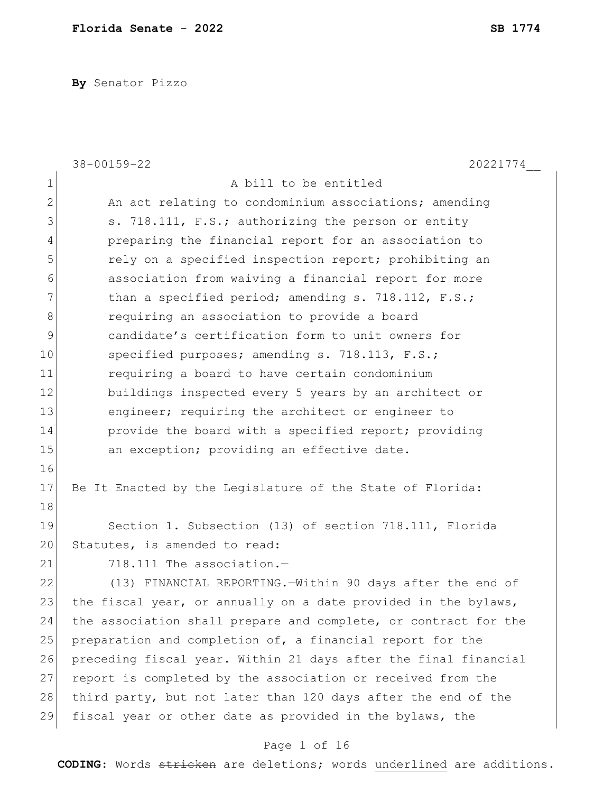**By** Senator Pizzo

|              | 38-00159-22<br>20221774                                         |
|--------------|-----------------------------------------------------------------|
| $\mathbf 1$  | A bill to be entitled                                           |
| $\mathbf{2}$ | An act relating to condominium associations; amending           |
| 3            | s. 718.111, F.S.; authorizing the person or entity              |
| 4            | preparing the financial report for an association to            |
| 5            | rely on a specified inspection report; prohibiting an           |
| 6            | association from waiving a financial report for more            |
| 7            | than a specified period; amending s. 718.112, F.S.;             |
| 8            | requiring an association to provide a board                     |
| 9            | candidate's certification form to unit owners for               |
| 10           | specified purposes; amending s. 718.113, F.S.;                  |
| 11           | requiring a board to have certain condominium                   |
| 12           | buildings inspected every 5 years by an architect or            |
| 13           | engineer; requiring the architect or engineer to                |
| 14           | provide the board with a specified report; providing            |
| 15           | an exception; providing an effective date.                      |
| 16           |                                                                 |
| 17           | Be It Enacted by the Legislature of the State of Florida:       |
| 18           |                                                                 |
| 19           | Section 1. Subsection (13) of section 718.111, Florida          |
| 20           | Statutes, is amended to read:                                   |
| 21           | 718.111 The association.-                                       |
| 22           | (13) FINANCIAL REPORTING. Within 90 days after the end of       |
| 23           | the fiscal year, or annually on a date provided in the bylaws,  |
| 24           | the association shall prepare and complete, or contract for the |
| 25           | preparation and completion of, a financial report for the       |
| 26           | preceding fiscal year. Within 21 days after the final financial |
| 27           | report is completed by the association or received from the     |
| 28           | third party, but not later than 120 days after the end of the   |
| 29           | fiscal year or other date as provided in the bylaws, the        |

# Page 1 of 16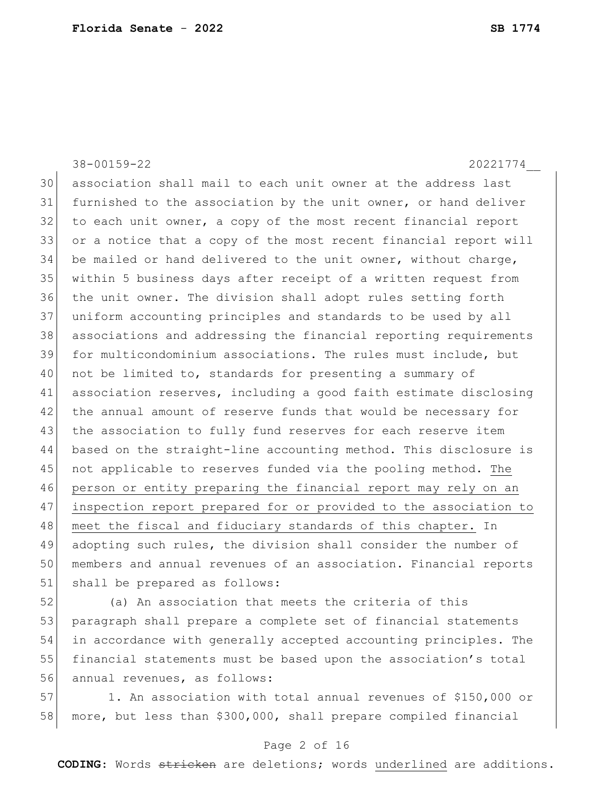38-00159-22 20221774\_\_ 30 association shall mail to each unit owner at the address last 31 furnished to the association by the unit owner, or hand deliver 32 to each unit owner, a copy of the most recent financial report 33 or a notice that a copy of the most recent financial report will 34 be mailed or hand delivered to the unit owner, without charge, 35 within 5 business days after receipt of a written request from 36 the unit owner. The division shall adopt rules setting forth 37 uniform accounting principles and standards to be used by all 38 associations and addressing the financial reporting requirements 39 for multicondominium associations. The rules must include, but 40 not be limited to, standards for presenting a summary of 41 association reserves, including a good faith estimate disclosing 42 the annual amount of reserve funds that would be necessary for 43 the association to fully fund reserves for each reserve item 44 based on the straight-line accounting method. This disclosure is 45 not applicable to reserves funded via the pooling method. The 46 person or entity preparing the financial report may rely on an 47 inspection report prepared for or provided to the association to 48 meet the fiscal and fiduciary standards of this chapter. In 49 adopting such rules, the division shall consider the number of 50 members and annual revenues of an association. Financial reports 51 shall be prepared as follows:

52 (a) An association that meets the criteria of this 53 paragraph shall prepare a complete set of financial statements 54 in accordance with generally accepted accounting principles. The 55 financial statements must be based upon the association's total 56 annual revenues, as follows:

57 1. An association with total annual revenues of \$150,000 or 58 more, but less than \$300,000, shall prepare compiled financial

## Page 2 of 16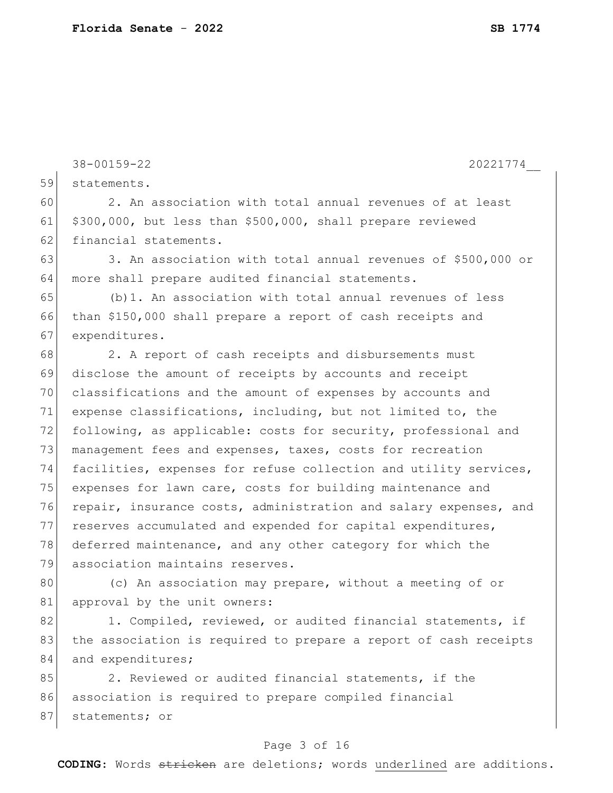38-00159-22 20221774\_\_ Page 3 of 16 59 statements. 60 2. An association with total annual revenues of at least 61  $$300,000$ , but less than \$500,000, shall prepare reviewed 62 financial statements. 63 3. An association with total annual revenues of \$500,000 or 64 more shall prepare audited financial statements.  $65$  (b)1. An association with total annual revenues of less 66 than \$150,000 shall prepare a report of cash receipts and 67 expenditures. 68 2. A report of cash receipts and disbursements must 69 disclose the amount of receipts by accounts and receipt 70 classifications and the amount of expenses by accounts and 71 expense classifications, including, but not limited to, the 72 following, as applicable: costs for security, professional and 73 management fees and expenses, taxes, costs for recreation 74 facilities, expenses for refuse collection and utility services, 75 expenses for lawn care, costs for building maintenance and 76 repair, insurance costs, administration and salary expenses, and 77 reserves accumulated and expended for capital expenditures, 78 deferred maintenance, and any other category for which the 79 association maintains reserves. 80 (c) An association may prepare, without a meeting of or 81 approval by the unit owners: 82 1. Compiled, reviewed, or audited financial statements, if 83 the association is required to prepare a report of cash receipts 84 and expenditures; 85 2. Reviewed or audited financial statements, if the 86 association is required to prepare compiled financial 87 statements; or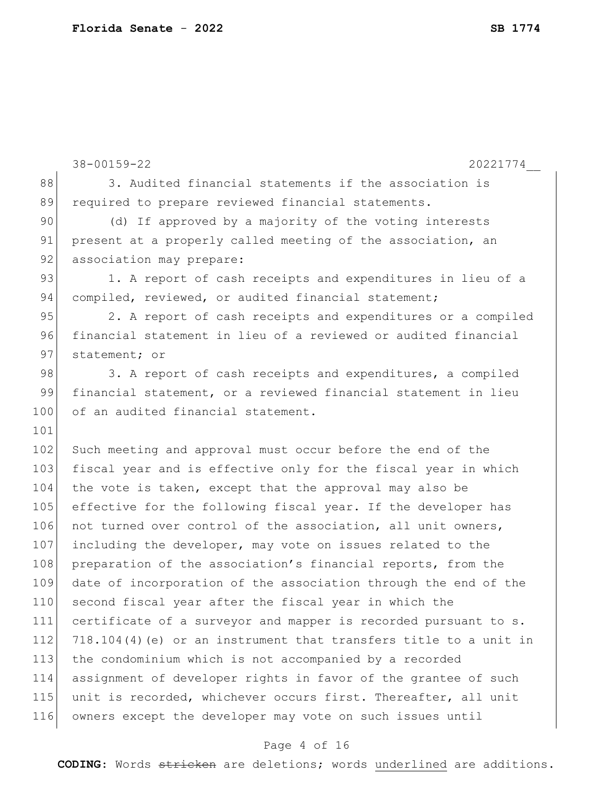|     | $38 - 00159 - 22$<br>20221774                                     |
|-----|-------------------------------------------------------------------|
| 88  | 3. Audited financial statements if the association is             |
| 89  | required to prepare reviewed financial statements.                |
| 90  | (d) If approved by a majority of the voting interests             |
| 91  | present at a properly called meeting of the association, an       |
| 92  | association may prepare:                                          |
| 93  | 1. A report of cash receipts and expenditures in lieu of a        |
| 94  | compiled, reviewed, or audited financial statement;               |
| 95  | 2. A report of cash receipts and expenditures or a compiled       |
| 96  | financial statement in lieu of a reviewed or audited financial    |
| 97  | statement; or                                                     |
| 98  | 3. A report of cash receipts and expenditures, a compiled         |
| 99  | financial statement, or a reviewed financial statement in lieu    |
| 100 | of an audited financial statement.                                |
| 101 |                                                                   |
| 102 | Such meeting and approval must occur before the end of the        |
| 103 | fiscal year and is effective only for the fiscal year in which    |
| 104 | the vote is taken, except that the approval may also be           |
| 105 | effective for the following fiscal year. If the developer has     |
| 106 | not turned over control of the association, all unit owners,      |
| 107 | including the developer, may vote on issues related to the        |
| 108 | preparation of the association's financial reports, from the      |
| 109 | date of incorporation of the association through the end of the   |
| 110 | second fiscal year after the fiscal year in which the             |
| 111 | certificate of a surveyor and mapper is recorded pursuant to s.   |
| 112 | 718.104(4) (e) or an instrument that transfers title to a unit in |
| 113 | the condominium which is not accompanied by a recorded            |
| 114 | assignment of developer rights in favor of the grantee of such    |
| 115 | unit is recorded, whichever occurs first. Thereafter, all unit    |
| 116 | owners except the developer may vote on such issues until         |
|     |                                                                   |

# Page 4 of 16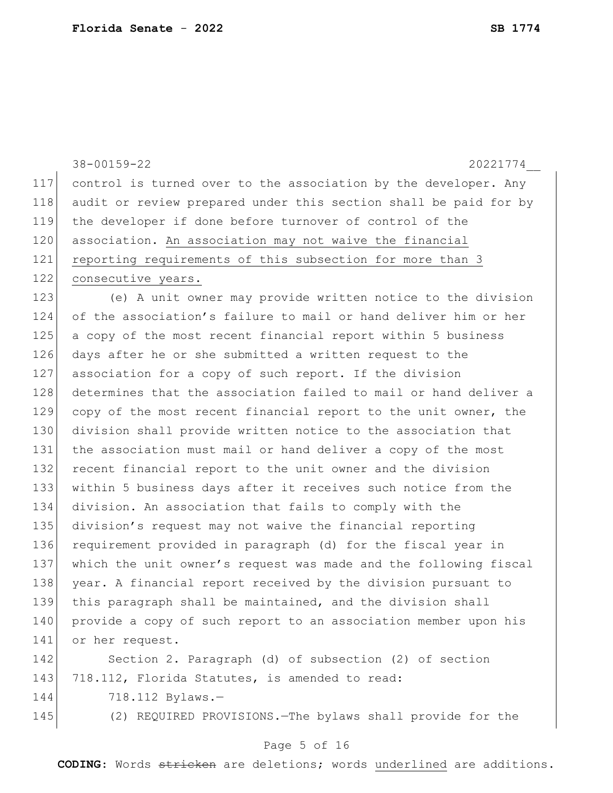|     | $38 - 00159 - 22$<br>20221774                                    |
|-----|------------------------------------------------------------------|
| 117 | control is turned over to the association by the developer. Any  |
| 118 | audit or review prepared under this section shall be paid for by |
| 119 | the developer if done before turnover of control of the          |
| 120 | association. An association may not waive the financial          |
| 121 | reporting requirements of this subsection for more than 3        |
| 122 | consecutive years.                                               |
| 123 | (e) A unit owner may provide written notice to the division      |
| 124 | of the association's failure to mail or hand deliver him or her  |
| 125 | a copy of the most recent financial report within 5 business     |
| 126 | days after he or she submitted a written request to the          |
| 127 | association for a copy of such report. If the division           |
| 128 | determines that the association failed to mail or hand deliver a |
| 129 | copy of the most recent financial report to the unit owner, the  |
| 130 | division shall provide written notice to the association that    |
| 131 | the association must mail or hand deliver a copy of the most     |
| 132 | recent financial report to the unit owner and the division       |
| 133 | within 5 business days after it receives such notice from the    |
| 134 | division. An association that fails to comply with the           |
| 135 | division's request may not waive the financial reporting         |
| 136 | requirement provided in paragraph (d) for the fiscal year in     |
| 137 | which the unit owner's request was made and the following fiscal |
| 138 | year. A financial report received by the division pursuant to    |
| 139 | this paragraph shall be maintained, and the division shall       |
| 140 | provide a copy of such report to an association member upon his  |
| 141 | or her request.                                                  |
| 142 | Section 2. Paragraph (d) of subsection (2) of section            |
| 143 | 718.112, Florida Statutes, is amended to read:                   |
| 144 | 718.112 Bylaws.-                                                 |
| 145 | (2) REQUIRED PROVISIONS. - The bylaws shall provide for the      |
|     |                                                                  |

# Page 5 of 16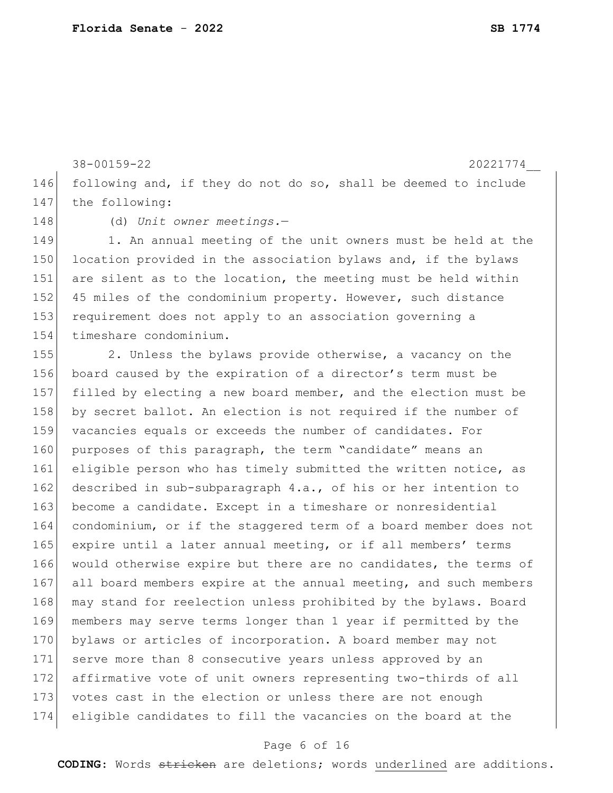38-00159-22 20221774\_\_ 146 following and, if they do not do so, shall be deemed to include 147 the following:

148 (d) *Unit owner meetings.*—

149 1. An annual meeting of the unit owners must be held at the 150 location provided in the association bylaws and, if the bylaws 151 are silent as to the location, the meeting must be held within 152 45 miles of the condominium property. However, such distance 153 requirement does not apply to an association governing a 154 timeshare condominium.

155 2. Unless the bylaws provide otherwise, a vacancy on the 156 board caused by the expiration of a director's term must be 157 filled by electing a new board member, and the election must be 158 by secret ballot. An election is not required if the number of 159 vacancies equals or exceeds the number of candidates. For 160 purposes of this paragraph, the term "candidate" means an 161 eligible person who has timely submitted the written notice, as 162 described in sub-subparagraph 4.a., of his or her intention to 163 become a candidate. Except in a timeshare or nonresidential 164 condominium, or if the staggered term of a board member does not 165 expire until a later annual meeting, or if all members' terms 166 would otherwise expire but there are no candidates, the terms of 167 all board members expire at the annual meeting, and such members 168 may stand for reelection unless prohibited by the bylaws. Board 169 members may serve terms longer than 1 year if permitted by the 170 bylaws or articles of incorporation. A board member may not 171 serve more than 8 consecutive years unless approved by an 172 affirmative vote of unit owners representing two-thirds of all 173 votes cast in the election or unless there are not enough 174 eligible candidates to fill the vacancies on the board at the

## Page 6 of 16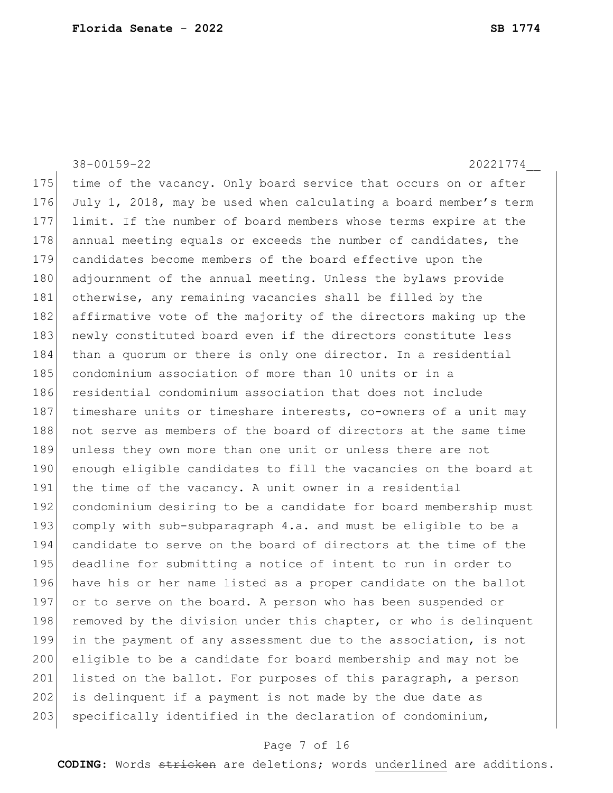38-00159-22 20221774\_\_ 175 time of the vacancy. Only board service that occurs on or after 176 July 1, 2018, may be used when calculating a board member's term 177 limit. If the number of board members whose terms expire at the 178 annual meeting equals or exceeds the number of candidates, the 179 candidates become members of the board effective upon the 180 adjournment of the annual meeting. Unless the bylaws provide 181 otherwise, any remaining vacancies shall be filled by the 182 affirmative vote of the majority of the directors making up the 183 newly constituted board even if the directors constitute less 184 than a quorum or there is only one director. In a residential 185 condominium association of more than 10 units or in a 186 residential condominium association that does not include 187 timeshare units or timeshare interests, co-owners of a unit may 188 not serve as members of the board of directors at the same time 189 unless they own more than one unit or unless there are not 190 enough eligible candidates to fill the vacancies on the board at 191 the time of the vacancy. A unit owner in a residential 192 condominium desiring to be a candidate for board membership must 193 comply with sub-subparagraph 4.a. and must be eligible to be a 194 candidate to serve on the board of directors at the time of the 195 deadline for submitting a notice of intent to run in order to 196 have his or her name listed as a proper candidate on the ballot 197 or to serve on the board. A person who has been suspended or 198 removed by the division under this chapter, or who is delinquent 199 in the payment of any assessment due to the association, is not 200 eligible to be a candidate for board membership and may not be 201 listed on the ballot. For purposes of this paragraph, a person 202 is delinquent if a payment is not made by the due date as

#### Page 7 of 16

 $203$  specifically identified in the declaration of condominium,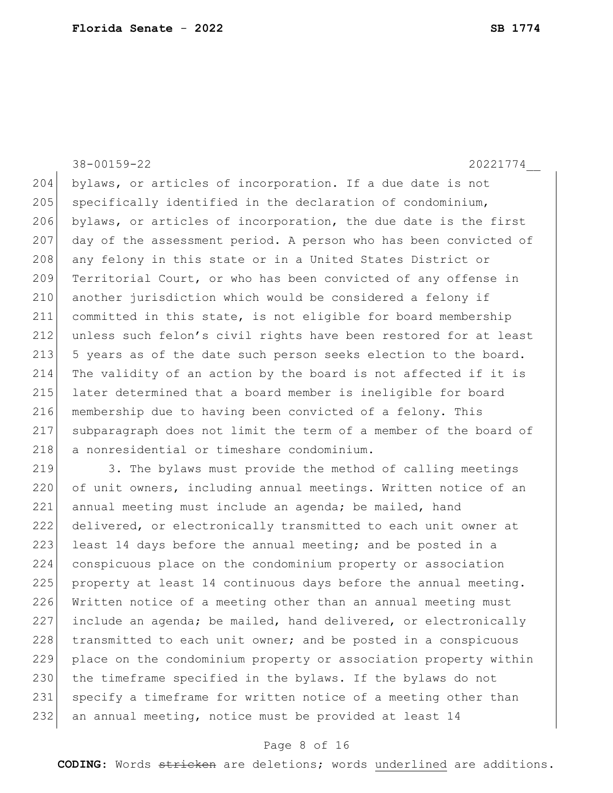38-00159-22 20221774\_\_ 204 bylaws, or articles of incorporation. If a due date is not  $205$  specifically identified in the declaration of condominium, 206 bylaws, or articles of incorporation, the due date is the first 207 day of the assessment period. A person who has been convicted of 208 any felony in this state or in a United States District or 209 Territorial Court, or who has been convicted of any offense in 210 another jurisdiction which would be considered a felony if 211 committed in this state, is not eligible for board membership 212 unless such felon's civil rights have been restored for at least 213 5 years as of the date such person seeks election to the board. 214 The validity of an action by the board is not affected if it is 215 later determined that a board member is ineligible for board 216 membership due to having been convicted of a felony. This 217 subparagraph does not limit the term of a member of the board of 218 a nonresidential or timeshare condominium. 219 3. The bylaws must provide the method of calling meetings 220 of unit owners, including annual meetings. Written notice of an 221 annual meeting must include an agenda; be mailed, hand

 delivered, or electronically transmitted to each unit owner at 223 least 14 days before the annual meeting; and be posted in a conspicuous place on the condominium property or association property at least 14 continuous days before the annual meeting. Written notice of a meeting other than an annual meeting must include an agenda; be mailed, hand delivered, or electronically 228 transmitted to each unit owner; and be posted in a conspicuous place on the condominium property or association property within 230 the timeframe specified in the bylaws. If the bylaws do not 231 specify a timeframe for written notice of a meeting other than an annual meeting, notice must be provided at least 14

#### Page 8 of 16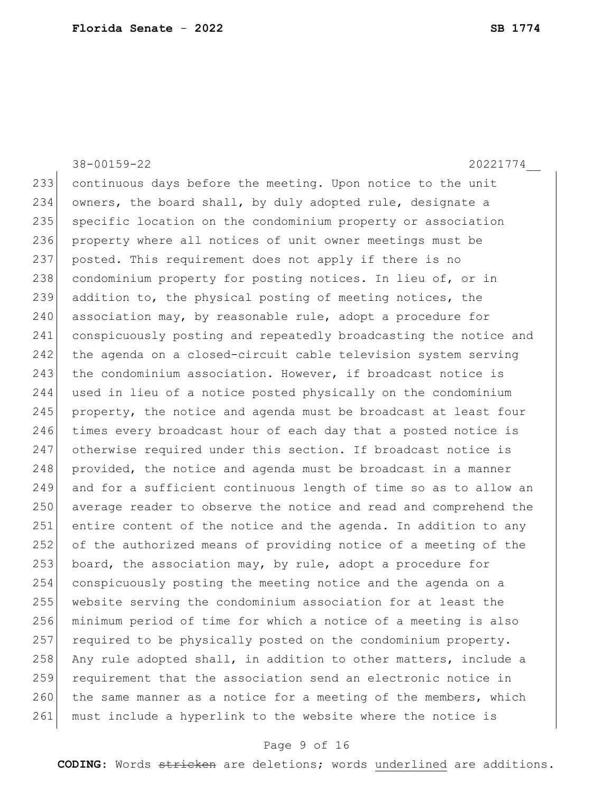233 continuous days before the meeting. Upon notice to the unit 234 owners, the board shall, by duly adopted rule, designate a 235 specific location on the condominium property or association 236 property where all notices of unit owner meetings must be 237 posted. This requirement does not apply if there is no 238 condominium property for posting notices. In lieu of, or in 239 addition to, the physical posting of meeting notices, the  $240$  association may, by reasonable rule, adopt a procedure for 241 conspicuously posting and repeatedly broadcasting the notice and 242 the agenda on a closed-circuit cable television system serving 243 the condominium association. However, if broadcast notice is 244 used in lieu of a notice posted physically on the condominium 245 property, the notice and agenda must be broadcast at least four 246 times every broadcast hour of each day that a posted notice is 247 otherwise required under this section. If broadcast notice is 248 | provided, the notice and agenda must be broadcast in a manner 249 and for a sufficient continuous length of time so as to allow an 250 average reader to observe the notice and read and comprehend the 251 entire content of the notice and the agenda. In addition to any 252 of the authorized means of providing notice of a meeting of the 253 board, the association may, by rule, adopt a procedure for 254 conspicuously posting the meeting notice and the agenda on a 255 website serving the condominium association for at least the 256 minimum period of time for which a notice of a meeting is also 257 required to be physically posted on the condominium property. 258 Any rule adopted shall, in addition to other matters, include a 259 requirement that the association send an electronic notice in 260 the same manner as a notice for a meeting of the members, which

38-00159-22 20221774\_\_

### Page 9 of 16

261 must include a hyperlink to the website where the notice is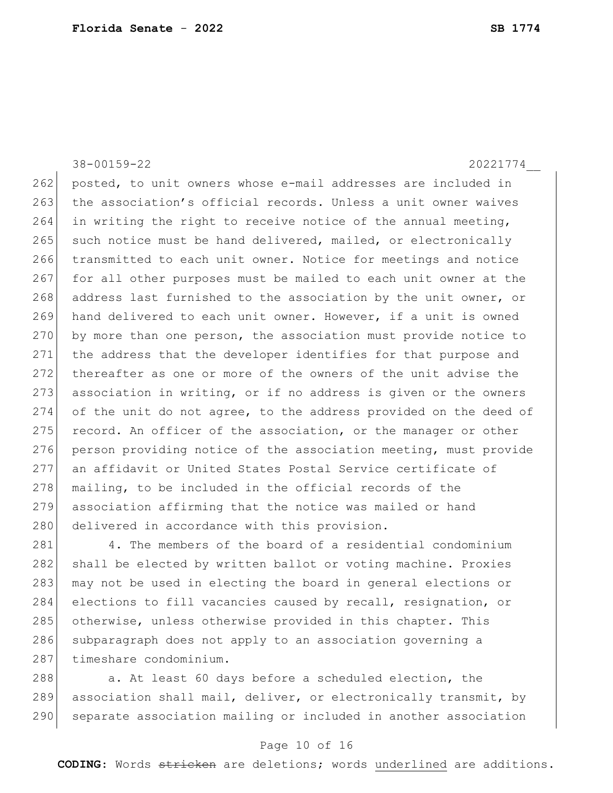38-00159-22 20221774\_\_ 262 posted, to unit owners whose e-mail addresses are included in 263 the association's official records. Unless a unit owner waives 264 in writing the right to receive notice of the annual meeting, 265 such notice must be hand delivered, mailed, or electronically 266 transmitted to each unit owner. Notice for meetings and notice 267 for all other purposes must be mailed to each unit owner at the 268 address last furnished to the association by the unit owner, or 269 hand delivered to each unit owner. However, if a unit is owned 270 by more than one person, the association must provide notice to 271 the address that the developer identifies for that purpose and 272 thereafter as one or more of the owners of the unit advise the 273 association in writing, or if no address is given or the owners 274 of the unit do not agree, to the address provided on the deed of  $275$  record. An officer of the association, or the manager or other 276 person providing notice of the association meeting, must provide 277 an affidavit or United States Postal Service certificate of 278 mailing, to be included in the official records of the 279 association affirming that the notice was mailed or hand 280 delivered in accordance with this provision.

281 4. The members of the board of a residential condominium 282 shall be elected by written ballot or voting machine. Proxies 283 may not be used in electing the board in general elections or 284 elections to fill vacancies caused by recall, resignation, or 285 otherwise, unless otherwise provided in this chapter. This 286 subparagraph does not apply to an association governing a 287 timeshare condominium.

288 a. At least 60 days before a scheduled election, the 289 association shall mail, deliver, or electronically transmit, by 290 separate association mailing or included in another association

#### Page 10 of 16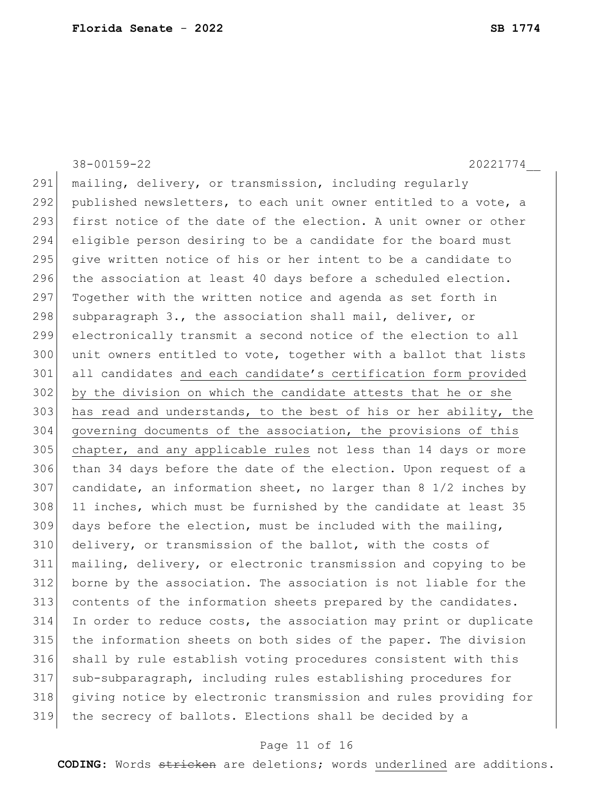38-00159-22 20221774\_\_ 291 | mailing, delivery, or transmission, including reqularly 292 published newsletters, to each unit owner entitled to a vote, a 293 first notice of the date of the election. A unit owner or other 294 eligible person desiring to be a candidate for the board must 295 give written notice of his or her intent to be a candidate to 296 the association at least 40 days before a scheduled election.  $297$  Together with the written notice and agenda as set forth in 298 subparagraph 3., the association shall mail, deliver, or 299 electronically transmit a second notice of the election to all 300 unit owners entitled to vote, together with a ballot that lists 301 all candidates and each candidate's certification form provided 302 by the division on which the candidate attests that he or she  $303$  has read and understands, to the best of his or her ability, the 304 governing documents of the association, the provisions of this 305 chapter, and any applicable rules not less than 14 days or more 306 than 34 days before the date of the election. Upon request of a  $307$  candidate, an information sheet, no larger than 8 1/2 inches by 308 11 inches, which must be furnished by the candidate at least 35 309 days before the election, must be included with the mailing, 310 delivery, or transmission of the ballot, with the costs of 311 mailing, delivery, or electronic transmission and copying to be 312 borne by the association. The association is not liable for the 313 contents of the information sheets prepared by the candidates. 314 In order to reduce costs, the association may print or duplicate 315 the information sheets on both sides of the paper. The division 316 shall by rule establish voting procedures consistent with this 317 sub-subparagraph, including rules establishing procedures for 318 giving notice by electronic transmission and rules providing for 319 the secrecy of ballots. Elections shall be decided by a

#### Page 11 of 16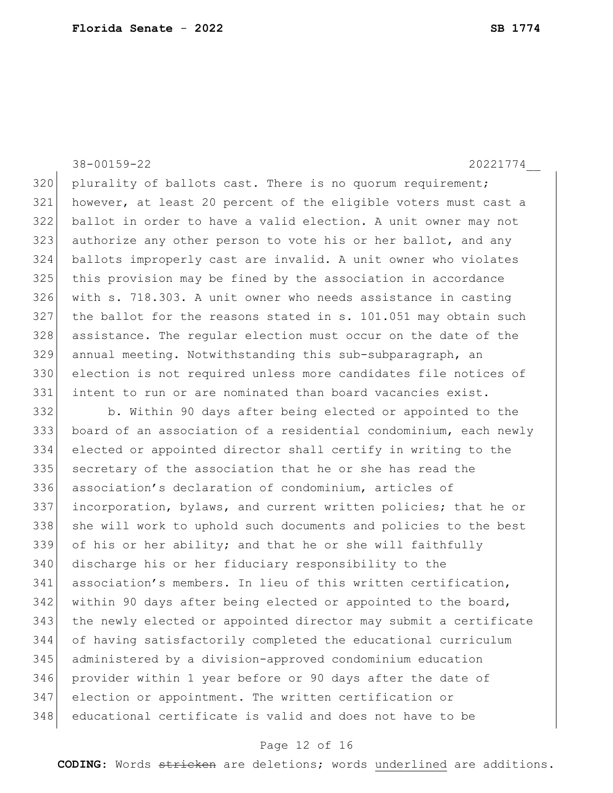38-00159-22 20221774\_\_

320 plurality of ballots cast. There is no quorum requirement; however, at least 20 percent of the eligible voters must cast a ballot in order to have a valid election. A unit owner may not 323 authorize any other person to vote his or her ballot, and any ballots improperly cast are invalid. A unit owner who violates this provision may be fined by the association in accordance with s. 718.303. A unit owner who needs assistance in casting the ballot for the reasons stated in s. 101.051 may obtain such assistance. The regular election must occur on the date of the annual meeting. Notwithstanding this sub-subparagraph, an election is not required unless more candidates file notices of intent to run or are nominated than board vacancies exist.

 b. Within 90 days after being elected or appointed to the board of an association of a residential condominium, each newly elected or appointed director shall certify in writing to the secretary of the association that he or she has read the association's declaration of condominium, articles of 337 incorporation, bylaws, and current written policies; that he or 338 she will work to uphold such documents and policies to the best of his or her ability; and that he or she will faithfully discharge his or her fiduciary responsibility to the 341 association's members. In lieu of this written certification, within 90 days after being elected or appointed to the board, the newly elected or appointed director may submit a certificate of having satisfactorily completed the educational curriculum administered by a division-approved condominium education provider within 1 year before or 90 days after the date of election or appointment. The written certification or educational certificate is valid and does not have to be

#### Page 12 of 16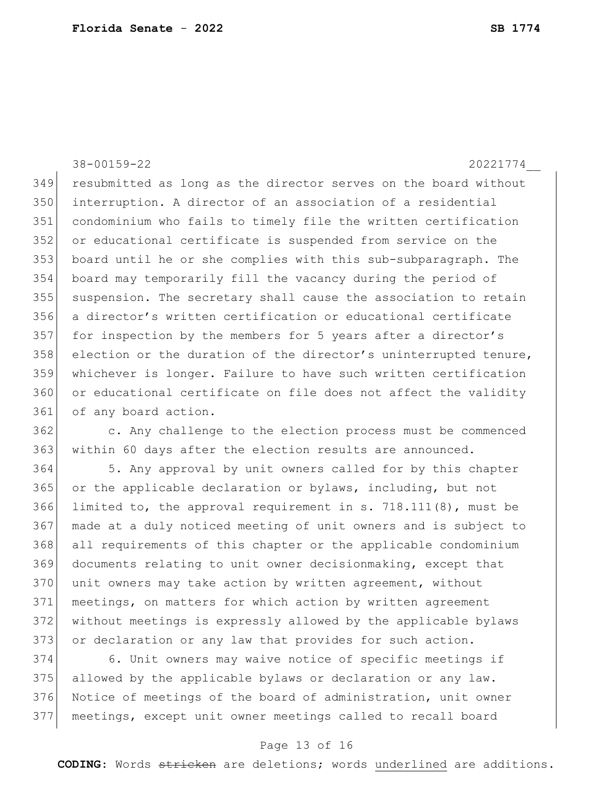38-00159-22 20221774\_\_ resubmitted as long as the director serves on the board without interruption. A director of an association of a residential condominium who fails to timely file the written certification or educational certificate is suspended from service on the board until he or she complies with this sub-subparagraph. The board may temporarily fill the vacancy during the period of 355 suspension. The secretary shall cause the association to retain a director's written certification or educational certificate for inspection by the members for 5 years after a director's 358 election or the duration of the director's uninterrupted tenure, whichever is longer. Failure to have such written certification or educational certificate on file does not affect the validity 361 of any board action.

 c. Any challenge to the election process must be commenced within 60 days after the election results are announced.

364 5. Any approval by unit owners called for by this chapter or the applicable declaration or bylaws, including, but not limited to, the approval requirement in s. 718.111(8), must be made at a duly noticed meeting of unit owners and is subject to all requirements of this chapter or the applicable condominium documents relating to unit owner decisionmaking, except that 370 unit owners may take action by written agreement, without meetings, on matters for which action by written agreement without meetings is expressly allowed by the applicable bylaws 373 or declaration or any law that provides for such action.

 6. Unit owners may waive notice of specific meetings if 375 allowed by the applicable bylaws or declaration or any law. Notice of meetings of the board of administration, unit owner meetings, except unit owner meetings called to recall board

### Page 13 of 16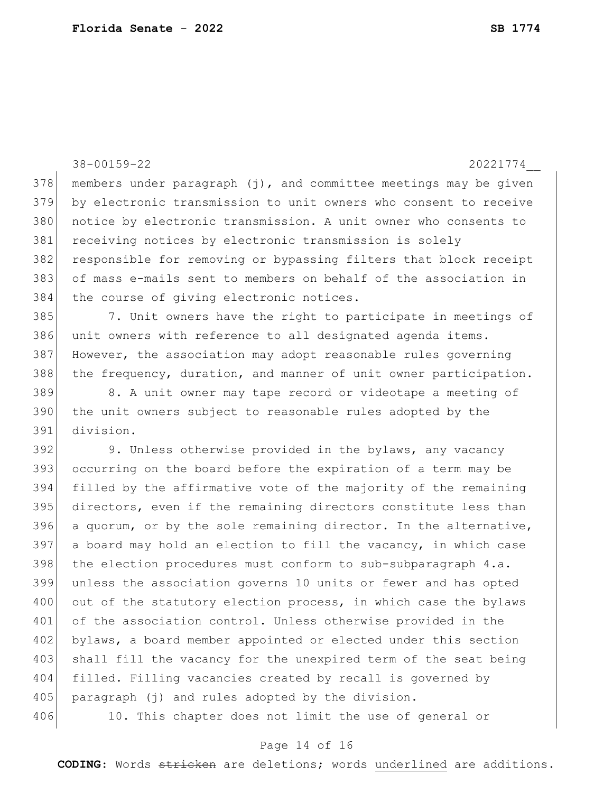38-00159-22 20221774\_\_  $378$  members under paragraph (j), and committee meetings may be given 379 by electronic transmission to unit owners who consent to receive 380 notice by electronic transmission. A unit owner who consents to 381 receiving notices by electronic transmission is solely 382 responsible for removing or bypassing filters that block receipt 383 of mass e-mails sent to members on behalf of the association in 384 the course of giving electronic notices. 385 7. Unit owners have the right to participate in meetings of 386 unit owners with reference to all designated agenda items. 387 However, the association may adopt reasonable rules governing 388 the frequency, duration, and manner of unit owner participation. 389 8. A unit owner may tape record or videotape a meeting of 390 the unit owners subject to reasonable rules adopted by the 391 division. 392 9. Unless otherwise provided in the bylaws, any vacancy 393 occurring on the board before the expiration of a term may be 394 filled by the affirmative vote of the majority of the remaining 395 directors, even if the remaining directors constitute less than 396 a quorum, or by the sole remaining director. In the alternative,  $397$  a board may hold an election to fill the vacancy, in which case  $398$  the election procedures must conform to sub-subparagraph  $4.a.$ 399 unless the association governs 10 units or fewer and has opted 400 out of the statutory election process, in which case the bylaws 401 of the association control. Unless otherwise provided in the 402 bylaws, a board member appointed or elected under this section 403 shall fill the vacancy for the unexpired term of the seat being 404 filled. Filling vacancies created by recall is governed by 405 paragraph (j) and rules adopted by the division. 406 10. This chapter does not limit the use of general or

#### Page 14 of 16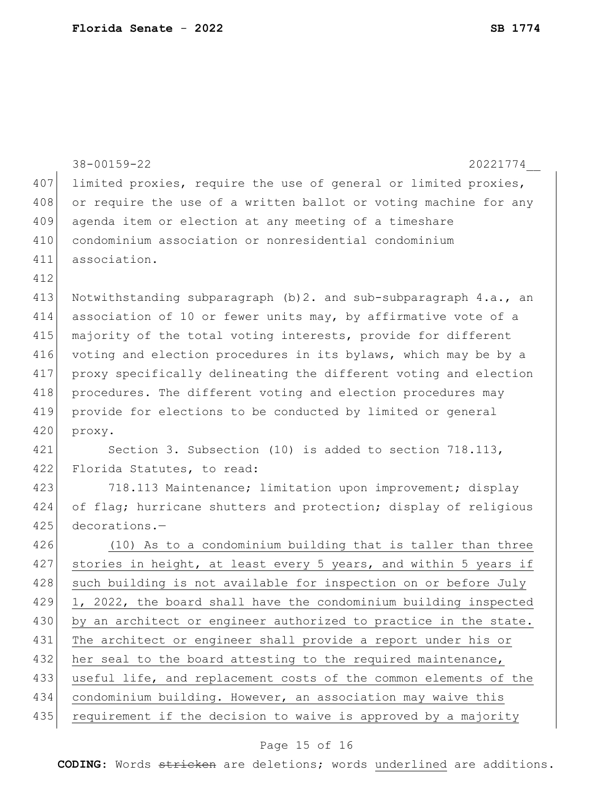|     | $38 - 00159 - 22$<br>20221774                                     |
|-----|-------------------------------------------------------------------|
| 407 | limited proxies, require the use of general or limited proxies,   |
| 408 | or require the use of a written ballot or voting machine for any  |
| 409 | agenda item or election at any meeting of a timeshare             |
| 410 | condominium association or nonresidential condominium             |
| 411 | association.                                                      |
| 412 |                                                                   |
| 413 | Notwithstanding subparagraph (b) 2. and sub-subparagraph 4.a., an |
| 414 | association of 10 or fewer units may, by affirmative vote of a    |
| 415 | majority of the total voting interests, provide for different     |
| 416 | voting and election procedures in its bylaws, which may be by a   |
| 417 | proxy specifically delineating the different voting and election  |
| 418 | procedures. The different voting and election procedures may      |
| 419 | provide for elections to be conducted by limited or general       |
| 420 | proxy.                                                            |
| 421 | Section 3. Subsection (10) is added to section 718.113,           |
| 422 | Florida Statutes, to read:                                        |
| 423 | 718.113 Maintenance; limitation upon improvement; display         |
| 424 | of flag; hurricane shutters and protection; display of religious  |
| 425 | decorations.-                                                     |
| 426 | (10) As to a condominium building that is taller than three       |
| 427 | stories in height, at least every 5 years, and within 5 years if  |
| 428 | such building is not available for inspection on or before July   |
| 429 | 1, 2022, the board shall have the condominium building inspected  |
| 430 | by an architect or engineer authorized to practice in the state.  |
| 431 | The architect or engineer shall provide a report under his or     |
| 432 | her seal to the board attesting to the required maintenance,      |
| 433 | useful life, and replacement costs of the common elements of the  |
| 434 | condominium building. However, an association may waive this      |
| 435 | requirement if the decision to waive is approved by a majority    |
|     |                                                                   |

# Page 15 of 16